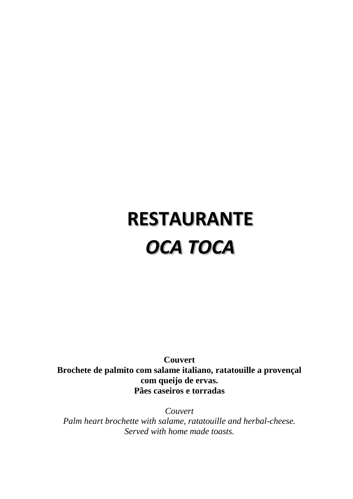# **RESTAURANTE** *OCA TOCA*

**Couvert Brochete de palmito com salame italiano, ratatouille a provençal com queijo de ervas. Pães caseiros e torradas**

*Couvert Palm heart brochette with salame, ratatouille and herbal-cheese. Served with home made toasts.*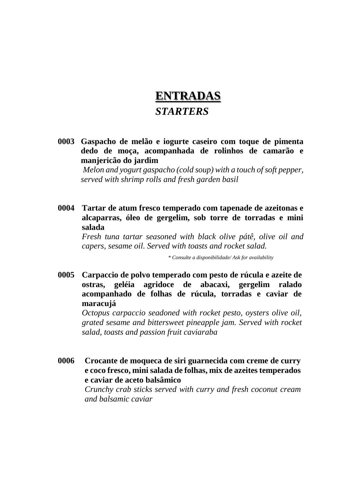## **ENTRADAS** *STARTERS*

**0003 Gaspacho de melão e iogurte caseiro com toque de pimenta dedo de moça, acompanhada de rolinhos de camarão e manjericão do jardim**

*Melon and yogurt gaspacho (cold soup) with a touch of soft pepper, served with shrimp rolls and fresh garden basil*

**0004 Tartar de atum fresco temperado com tapenade de azeitonas e alcaparras, óleo de gergelim, sob torre de torradas e mini salada**

*Fresh tuna tartar seasoned with black olive pátê, olive oil and capers, sesame oil. Served with toasts and rocket salad.*

 *\* Consulte a disponibilidade/ Ask for availability*

**0005 Carpaccio de polvo temperado com pesto de rúcula e azeite de ostras, geléia agridoce de abacaxi, gergelim ralado acompanhado de folhas de rúcula, torradas e caviar de maracujá**

*Octopus carpaccio seadoned with rocket pesto, oysters olive oil, grated sesame and bittersweet pineapple jam. Served with rocket salad, toasts and passion fruit caviaraba*

**0006 Crocante de moqueca de siri guarnecida com creme de curry e coco fresco, mini salada de folhas, mix de azeites temperados e caviar de aceto balsâmico**

> *Crunchy crab sticks served with curry and fresh coconut cream and balsamic caviar*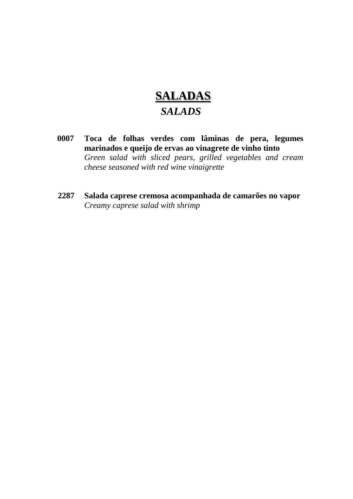## **SALADAS**  *SALADS*

- **0007 Toca de folhas verdes com lâminas de pera, legumes marinados e queijo de ervas ao vinagrete de vinho tinto**  *Green salad with sliced pears, grilled vegetables and cream cheese seasoned with red wine vinaigrette*
- **2287 Salada caprese cremosa acompanhada de camarões no vapor R\$ 45,00** *Creamy caprese salad with shrimp*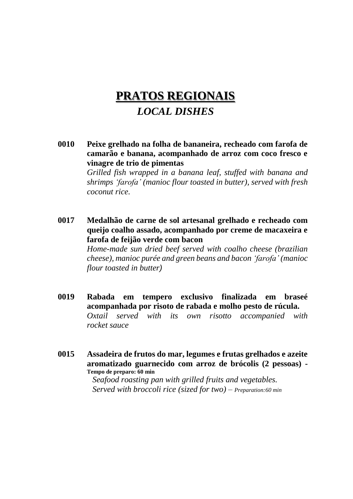### **PRATOS REGIONAIS** *LOCAL DISHES*

- **0010 Peixe grelhado na folha de bananeira, recheado com farofa de camarão e banana, acompanhado de arroz com coco fresco e vinagre de trio de pimentas** *Grilled fish wrapped in a banana leaf, stuffed with banana and shrimps 'farofa' (manioc flour toasted in butter), served with fresh coconut rice.*
- **0017 Medalhão de carne de sol artesanal grelhado e recheado com queijo coalho assado, acompanhado por creme de macaxeira e farofa de feijão verde com bacon** *Home-made sun dried beef served with coalho cheese (brazilian cheese), manioc purée and green beans and bacon 'farofa' (manioc flour toasted in butter)*
- **0019 Rabada em tempero exclusivo finalizada em braseé acompanhada por risoto de rabada e molho pesto de rúcula.** *Oxtail served with its own risotto accompanied with rocket sauce*
- **0015 Assadeira de frutos do mar, legumes e frutas grelhados e azeite aromatizado guarnecido com arroz de brócolis (2 pessoas) - Tempo de preparo: 60 min**

*Seafood roasting pan with grilled fruits and vegetables. Served with broccoli rice (sized for two) – Preparation:60 min*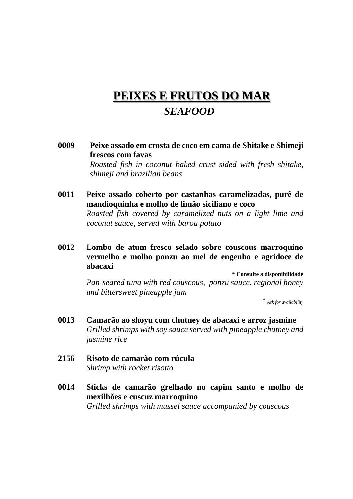### **PEIXES E FRUTOS DO MAR**  *SEAFOOD*

- **0009 Peixe assado em crosta de coco em cama de Shitake e Shimeji frescos com favas** *Roasted fish in coconut baked crust sided with fresh shitake, shimeji and brazilian beans*
- **0011 Peixe assado coberto por castanhas caramelizadas, purê de mandioquinha e molho de limão siciliano e coco** *Roasted fish covered by caramelized nuts on a light lime and coconut sauce, served with baroa potato*
- **0012 Lombo de atum fresco selado sobre couscous marroquino vermelho e molho ponzu ao mel de engenho e agridoce de abacaxi**

*\** **Consulte a disponibilidade** *Pan-seared tuna with red couscous, ponzu sauce, regional honey and bittersweet pineapple jam*

 *\* Ask for availability*

- **0013** Camarão ao shoyu com chutney de abacaxi e arroz jasmine *Grilled shrimps with soy sauce served with pineapple chutney and jasmine rice*
- **2156 Risoto de camarão com rúcula R\$ 81,00** *Shrimp with rocket risotto*
- **0014 Sticks de camarão grelhado no capim santo e molho de mexilhões e cuscuz marroquino** *Grilled shrimps with mussel sauce accompanied by couscous*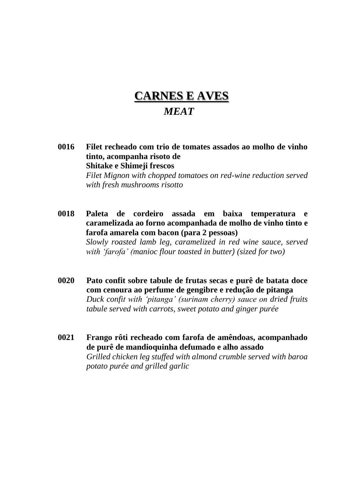## **CARNES E AVES**

#### *MEAT*

**0016 Filet recheado com trio de tomates assados ao molho de vinho tinto, acompanha risoto de Shitake e Shimeji frescos**

> *Filet Mignon with chopped tomatoes on red-wine reduction served with fresh mushrooms risotto*

**0018 Paleta de cordeiro assada em baixa temperatura e caramelizada ao forno acompanhada de molho de vinho tinto e farofa amarela com bacon (para 2 pessoas)**

> *Slowly roasted lamb leg, caramelized in red wine sauce, served with 'farofa' (manioc flour toasted in butter) (sized for two)*

- **0020 Pato confit sobre tabule de frutas secas e purê de batata doce com cenoura ao perfume de gengibre e redução de pitanga** *Duck confit with 'pitanga' (surinam cherry) sauce on dried fruits tabule served with carrots, sweet potato and ginger purée*
- **0021 Frango rôti recheado com farofa de amêndoas, acompanhado de purê de mandioquinha defumado e alho assado** *Grilled chicken leg stuffed with almond crumble served with baroa potato purée and grilled garlic*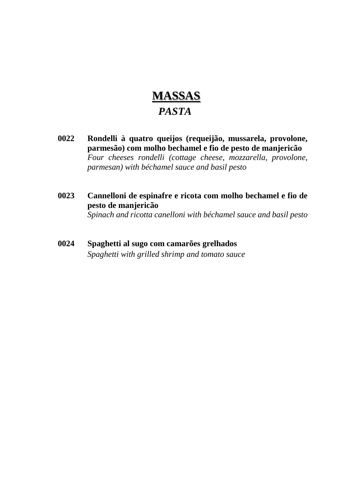# **MASSAS**  *PASTA*

- **0022 Rondelli à quatro queijos (requeijão, mussarela, provolone, parmesão) com molho bechamel e fio de pesto de manjericão** *Four cheeses rondelli (cottage cheese, mozzarella, provolone, parmesan) with béchamel sauce and basil pesto*
- **0023 Cannelloni de espinafre e ricota com molho bechamel e fio de pesto de manjericão** *Spinach and ricotta canelloni with béchamel sauce and basil pesto*
- **0024 Spaghetti al sugo com camarões grelhados** *Spaghetti with grilled shrimp and tomato sauce*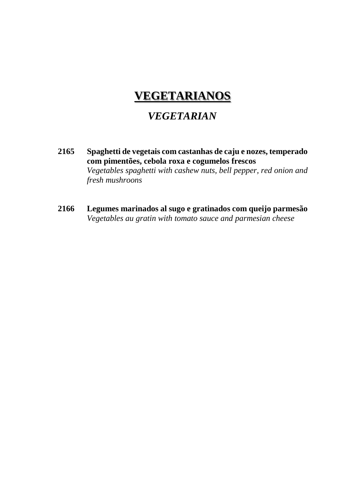### **VEGETARIANOS**

#### *VEGETARIAN*

- **2165 Spaghetti de vegetais com castanhas de caju e nozes, temperado com pimentões, cebola roxa e cogumelos frescos**  *Vegetables spaghetti with cashew nuts, bell pepper, red onion and fresh mushroons*
- **2166 Legumes marinados al sugo e gratinados com queijo parmesão R\$ 52,00** *Vegetables au gratin with tomato sauce and parmesian cheese*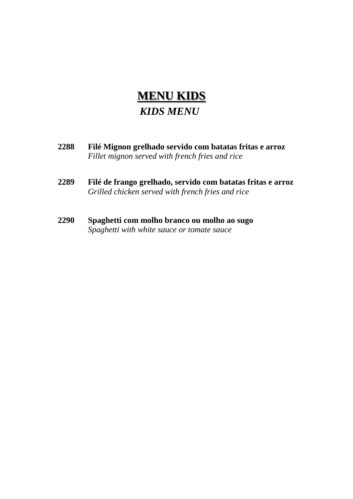## **MENU KIDS**  *KIDS MENU*

- **2288 Filé Mignon grelhado servido com batatas fritas e arroz R\$ 57,00** *Fillet mignon served with french fries and rice*
- **2289 Filé de frango grelhado, servido com batatas fritas e arroz R\$ 52,00** *Grilled chicken served with french fries and rice*
- **2290 Spaghetti com molho branco ou molho ao sugo** *Spaghetti with white sauce or tomate sauce*